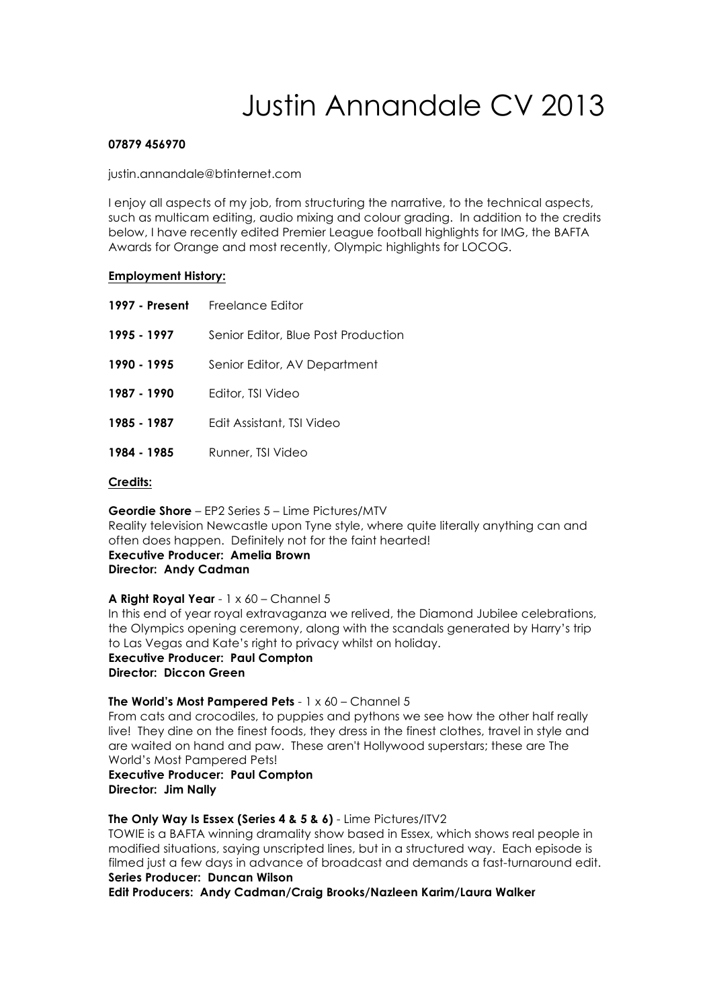# Justin Annandale CV 2013

# **07879 456970**

justin.annandale@btinternet.com

I enjoy all aspects of my job, from structuring the narrative, to the technical aspects, such as multicam editing, audio mixing and colour grading. In addition to the credits below, I have recently edited Premier League football highlights for IMG, the BAFTA Awards for Orange and most recently, Olympic highlights for LOCOG.

# **Employment History:**

|             | 1997 - Present Freelance Editor     |
|-------------|-------------------------------------|
| 1995 - 1997 | Senior Editor, Blue Post Production |
| 1990 - 1995 | Senior Editor, AV Department        |
| 1987 - 1990 | Editor, TSI Video                   |
| 1985 - 1987 | Edit Assistant, TSI Video           |
| 1984 - 1985 | Runner, TSI Video                   |

#### **Credits:**

**Geordie Shore** – EP2 Series 5 – Lime Pictures/MTV Reality television Newcastle upon Tyne style, where quite literally anything can and often does happen. Definitely not for the faint hearted!

**Executive Producer: Amelia Brown Director: Andy Cadman**

# **A Right Royal Year** - 1 x 60 – Channel 5

In this end of year royal extravaganza we relived, the Diamond Jubilee celebrations, the Olympics opening ceremony, along with the scandals generated by Harry's trip to Las Vegas and Kate's right to privacy whilst on holiday.

**Executive Producer: Paul Compton Director: Diccon Green**

# **The World's Most Pampered Pets** - 1 x 60 – Channel 5

From cats and crocodiles, to puppies and pythons we see how the other half really live! They dine on the finest foods, they dress in the finest clothes, travel in style and are waited on hand and paw. These aren't Hollywood superstars; these are The World's Most Pampered Pets!

**Executive Producer: Paul Compton Director: Jim Nally**

# **The Only Way Is Essex (Series 4 & 5 & 6)** - Lime Pictures/ITV2

TOWIE is a BAFTA winning dramality show based in Essex, which shows real people in modified situations, saying unscripted lines, but in a structured way. Each episode is filmed just a few days in advance of broadcast and demands a fast-turnaround edit. **Series Producer: Duncan Wilson**

**Edit Producers: Andy Cadman/Craig Brooks/Nazleen Karim/Laura Walker**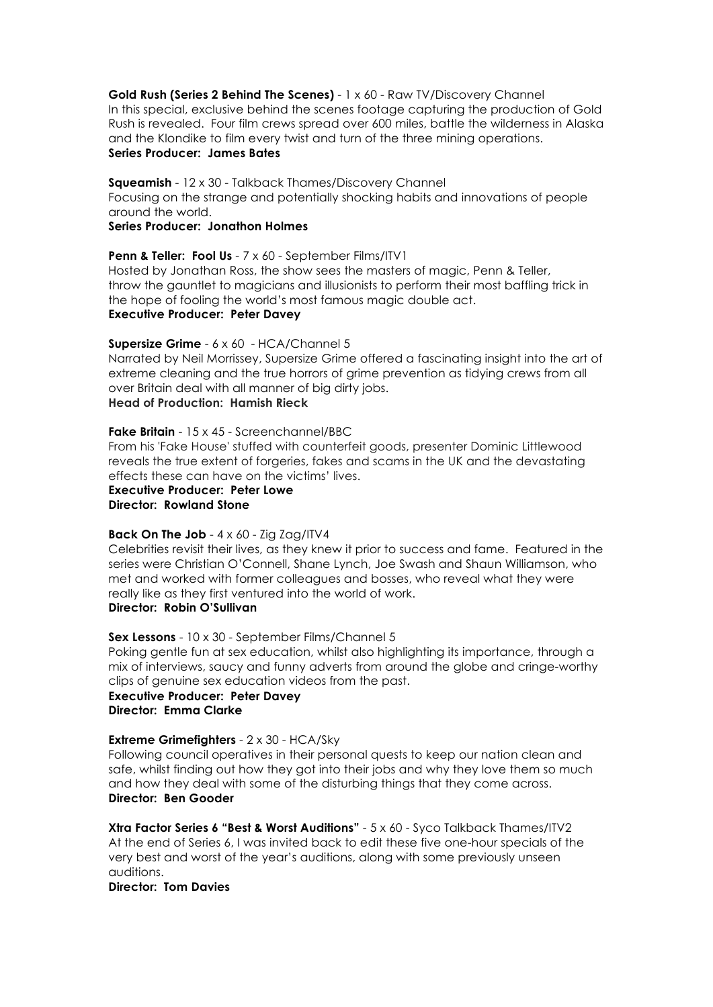#### **Gold Rush (Series 2 Behind The Scenes)** - 1 x 60 - Raw TV/Discovery Channel In this special, exclusive behind the scenes footage capturing the production of Gold Rush is revealed. Four film crews spread over 600 miles, battle the wilderness in Alaska and the Klondike to film every twist and turn of the three mining operations. **Series Producer: James Bates**

# **Squeamish** - 12 x 30 - Talkback Thames/Discovery Channel

Focusing on the strange and potentially shocking habits and innovations of people around the world.

# **Series Producer: Jonathon Holmes**

#### **Penn & Teller: Fool Us** - 7 x 60 - September Films/ITV1

Hosted by Jonathan Ross, the show sees the masters of magic, Penn & Teller, throw the gauntlet to magicians and illusionists to perform their most baffling trick in the hope of fooling the world's most famous magic double act. **Executive Producer: Peter Davey**

#### **Supersize Grime** - 6 x 60 - HCA/Channel 5

Narrated by Neil Morrissey, Supersize Grime offered a fascinating insight into the art of extreme cleaning and the true horrors of grime prevention as tidying crews from all over Britain deal with all manner of big dirty jobs.

# **Head of Production: Hamish Rieck**

#### **Fake Britain** - 15 x 45 - Screenchannel/BBC

From his 'Fake House' stuffed with counterfeit goods, presenter Dominic Littlewood reveals the true extent of forgeries, fakes and scams in the UK and the devastating effects these can have on the victims' lives.

**Executive Producer: Peter Lowe Director: Rowland Stone**

#### **Back On The Job** - 4 x 60 - Zig Zag/ITV4

Celebrities revisit their lives, as they knew it prior to success and fame. Featured in the series were Christian O'Connell, Shane Lynch, Joe Swash and Shaun Williamson, who met and worked with former colleagues and bosses, who reveal what they were really like as they first ventured into the world of work.

# **Director: Robin O'Sullivan**

# **Sex Lessons** - 10 x 30 - September Films/Channel 5

Poking gentle fun at sex education, whilst also highlighting its importance, through a mix of interviews, saucy and funny adverts from around the globe and cringe-worthy clips of genuine sex education videos from the past.

# **Executive Producer: Peter Davey Director: Emma Clarke**

# **Extreme Grimefighters** - 2 x 30 - HCA/Sky

Following council operatives in their personal quests to keep our nation clean and safe, whilst finding out how they got into their jobs and why they love them so much and how they deal with some of the disturbing things that they come across. **Director: Ben Gooder**

**Xtra Factor Series 6 "Best & Worst Auditions"** - 5 x 60 - Syco Talkback Thames/ITV2 At the end of Series 6, I was invited back to edit these five one-hour specials of the very best and worst of the year's auditions, along with some previously unseen auditions.

# **Director: Tom Davies**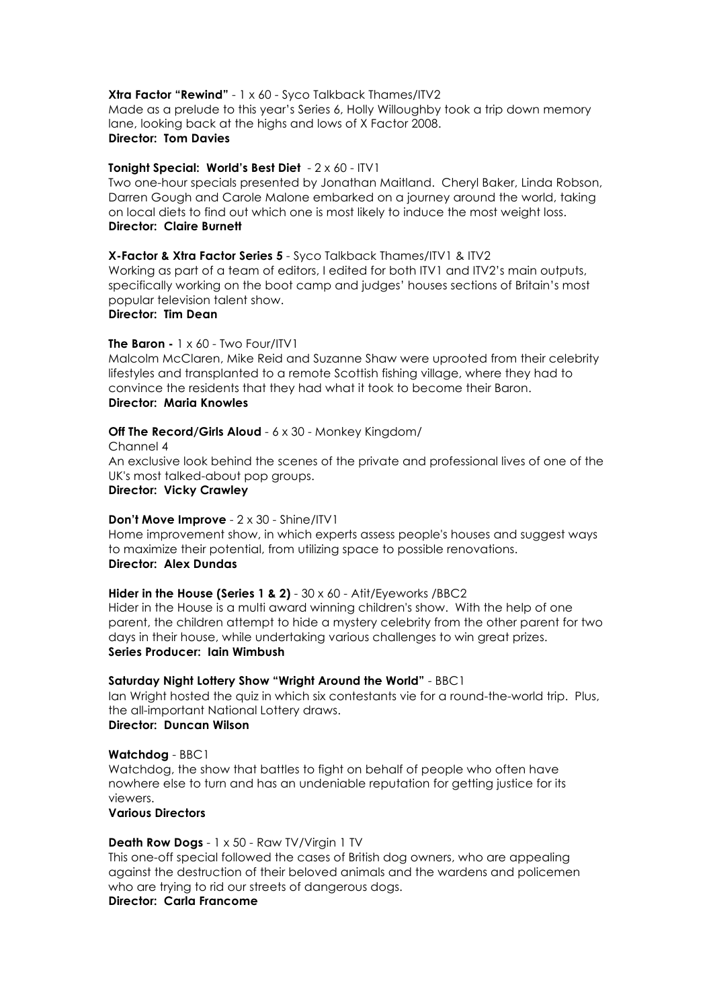#### **Xtra Factor "Rewind"** - 1 x 60 - Syco Talkback Thames/ITV2

Made as a prelude to this year's Series 6, Holly Willoughby took a trip down memory lane, looking back at the highs and lows of X Factor 2008. **Director: Tom Davies**

#### **Tonight Special: World's Best Diet** - 2 x 60 - ITV1

Two one-hour specials presented by Jonathan Maitland. Cheryl Baker, Linda Robson, Darren Gough and Carole Malone embarked on a journey around the world, taking on local diets to find out which one is most likely to induce the most weight loss. **Director: Claire Burnett**

**X-Factor & Xtra Factor Series 5** - Syco Talkback Thames/ITV1 & ITV2 Working as part of a team of editors, I edited for both ITV1 and ITV2's main outputs,

specifically working on the boot camp and judges' houses sections of Britain's most popular television talent show.

# **Director: Tim Dean**

#### **The Baron -** 1 x 60 - Two Four/ITV1

Malcolm McClaren, Mike Reid and Suzanne Shaw were uprooted from their celebrity lifestyles and transplanted to a remote Scottish fishing village, where they had to convince the residents that they had what it took to become their Baron. **Director: Maria Knowles**

#### **Off The Record/Girls Aloud** - 6 x 30 - Monkey Kingdom/

Channel 4 An exclusive look behind the scenes of the private and professional lives of one of the UK's most talked-about pop groups. **Director: Vicky Crawley**

# **Don't Move Improve** - 2 x 30 - Shine/ITV1

Home improvement show, in which experts assess people's houses and suggest ways to maximize their potential, from utilizing space to possible renovations.

## **Director: Alex Dundas**

# **Hider in the House (Series 1 & 2)** - 30 x 60 - Atit/Eyeworks /BBC2

Hider in the House is a multi award winning children's show. With the help of one parent, the children attempt to hide a mystery celebrity from the other parent for two days in their house, while undertaking various challenges to win great prizes. **Series Producer: Iain Wimbush**

#### **Saturday Night Lottery Show "Wright Around the World"** - BBC1

Ian Wright hosted the quiz in which six contestants vie for a round-the-world trip. Plus, the all-important National Lottery draws.

# **Director: Duncan Wilson**

# **Watchdog** - BBC1

Watchdog, the show that battles to fight on behalf of people who often have nowhere else to turn and has an undeniable reputation for getting justice for its viewers.

# **Various Directors**

# **Death Row Dogs** - 1 x 50 - Raw TV/Virgin 1 TV

This one-off special followed the cases of British dog owners, who are appealing against the destruction of their beloved animals and the wardens and policemen who are trying to rid our streets of dangerous dogs.

# **Director: Carla Francome**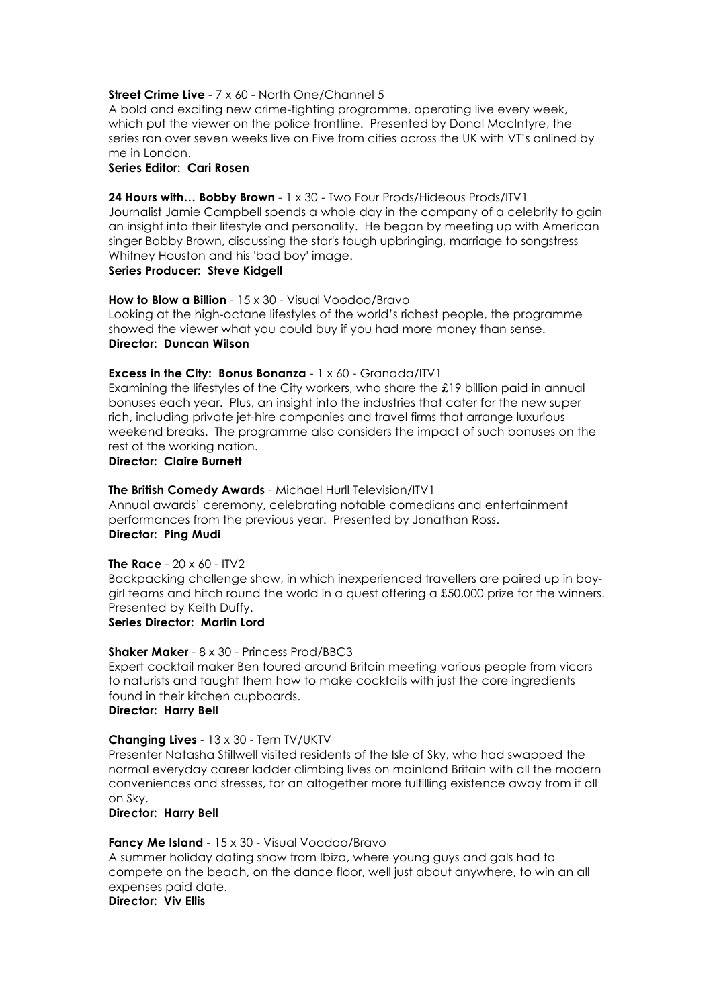#### **Street Crime Live** - 7 x 60 - North One/Channel 5

A bold and exciting new crime-fighting programme, operating live every week, which put the viewer on the police frontline. Presented by Donal MacIntyre, the series ran over seven weeks live on Five from cities across the UK with VT's onlined by me in London.

# **Series Editor: Cari Rosen**

**24 Hours with… Bobby Brown** - 1 x 30 - Two Four Prods/Hideous Prods/ITV1

Journalist Jamie Campbell spends a whole day in the company of a celebrity to gain an insight into their lifestyle and personality. He began by meeting up with American singer Bobby Brown, discussing the star's tough upbringing, marriage to songstress Whitney Houston and his 'bad boy' image.

# **Series Producer: Steve Kidgell**

**How to Blow a Billion** - 15 x 30 - Visual Voodoo/Bravo Looking at the high-octane lifestyles of the world's richest people, the programme showed the viewer what you could buy if you had more money than sense. **Director: Duncan Wilson**

#### **Excess in the City: Bonus Bonanza** - 1 x 60 - Granada/ITV1

Examining the lifestyles of the City workers, who share the £19 billion paid in annual bonuses each year. Plus, an insight into the industries that cater for the new super rich, including private jet-hire companies and travel firms that arrange luxurious weekend breaks. The programme also considers the impact of such bonuses on the rest of the working nation.

#### **Director: Claire Burnett**

#### **The British Comedy Awards** - Michael Hurll Television/ITV1

Annual awards' ceremony, celebrating notable comedians and entertainment performances from the previous year. Presented by Jonathan Ross. **Director: Ping Mudi**

#### **The Race** - 20 x 60 - ITV2

Backpacking challenge show, in which inexperienced travellers are paired up in boygirl teams and hitch round the world in a quest offering a  $£50,000$  prize for the winners. Presented by Keith Duffy.

# **Series Director: Martin Lord**

# **Shaker Maker** - 8 x 30 - Princess Prod/BBC3

Expert cocktail maker Ben toured around Britain meeting various people from vicars to naturists and taught them how to make cocktails with just the core ingredients found in their kitchen cupboards.

#### **Director: Harry Bell**

#### **Changing Lives** - 13 x 30 - Tern TV/UKTV

Presenter Natasha Stillwell visited residents of the Isle of Sky, who had swapped the normal everyday career ladder climbing lives on mainland Britain with all the modern conveniences and stresses, for an altogether more fulfilling existence away from it all on Sky.

#### **Director: Harry Bell**

#### **Fancy Me Island** - 15 x 30 - Visual Voodoo/Bravo

A summer holiday dating show from Ibiza, where young guys and gals had to compete on the beach, on the dance floor, well just about anywhere, to win an all expenses paid date.

# **Director: Viv Ellis**